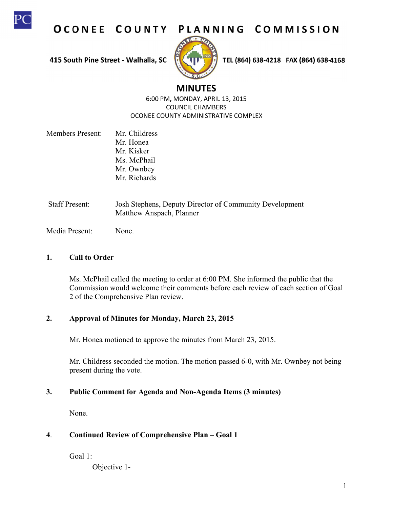

OCONEE COUNTY PLANNING COMMISSION

415 South Pine Street - Walhalla, SC



TEL (864) 638-4218 FAX (864) 638-4168

# **M MINUTES**

6:00 PM, MONDAY, APRIL 13, 2015 OCONEE COUNTY ADMINISTRATIVE COMPLEX COUN CIL CHAMBER RS

- Members Present: Mr. Childress Mr. Honea Mr. Kisker Mr. Kisker<br>Ms. McPhail Mr. Ownbey Mr. Richards
- Staff Present: Josh Stephens, Deputy Director of Community Development Matthew Anspach, Planner

Media Present: None.

#### **1. C Call to Order**

Ms. McPhail called the meeting to order at 6:00 PM. She informed the public that the Ms. McPhail called the meeting to order at 6:00 PM. She informed the public that the<br>Commission would welcome their comments before each review of each section of Goal 2 of the Comprehensive Plan review.

#### $2.$ **Approval of Minutes for r Monday, M March 23, 2 2015**

Mr. Honea motioned to approve the minutes from March 23, 2015.

Mr. Childress seconded the motion. The motion passed 6-0, with Mr. Ownbey not being present during the vote.

#### **3. P** Public Comment for Agenda and Non-Agenda Items (3 minutes)

N None.

#### **4**. **C** Continued Review of Comprehensive Plan - Goal 1

G Goal 1:

Objective 1-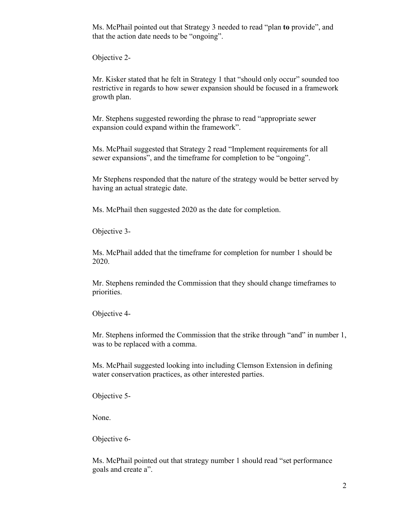Ms. McPhail pointed out that Strategy 3 needed to read "plan **to** provide", and that the action date needs to be "ongoing".

Objective 2-

Mr. Kisker stated that he felt in Strategy 1 that "should only occur" sounded too restrictive in regards to how sewer expansion should be focused in a framework growth plan.

Mr. Stephens suggested rewording the phrase to read "appropriate sewer expansion could expand within the framework".

Ms. McPhail suggested that Strategy 2 read "Implement requirements for all sewer expansions", and the timeframe for completion to be "ongoing".

Mr Stephens responded that the nature of the strategy would be better served by having an actual strategic date.

Ms. McPhail then suggested 2020 as the date for completion.

Objective 3-

Ms. McPhail added that the timeframe for completion for number 1 should be 2020.

Mr. Stephens reminded the Commission that they should change timeframes to priorities.

Objective 4-

Mr. Stephens informed the Commission that the strike through "and" in number 1, was to be replaced with a comma.

Ms. McPhail suggested looking into including Clemson Extension in defining water conservation practices, as other interested parties.

Objective 5-

None.

Objective 6-

Ms. McPhail pointed out that strategy number 1 should read "set performance goals and create a".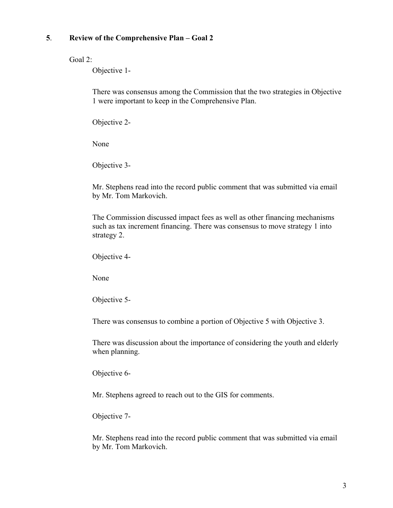### **5**. **Review of the Comprehensive Plan – Goal 2**

Goal 2:

Objective 1-

There was consensus among the Commission that the two strategies in Objective 1 were important to keep in the Comprehensive Plan.

Objective 2-

None

Objective 3-

Mr. Stephens read into the record public comment that was submitted via email by Mr. Tom Markovich.

The Commission discussed impact fees as well as other financing mechanisms such as tax increment financing. There was consensus to move strategy 1 into strategy 2.

Objective 4-

None

Objective 5-

There was consensus to combine a portion of Objective 5 with Objective 3.

There was discussion about the importance of considering the youth and elderly when planning.

Objective 6-

Mr. Stephens agreed to reach out to the GIS for comments.

Objective 7-

Mr. Stephens read into the record public comment that was submitted via email by Mr. Tom Markovich.